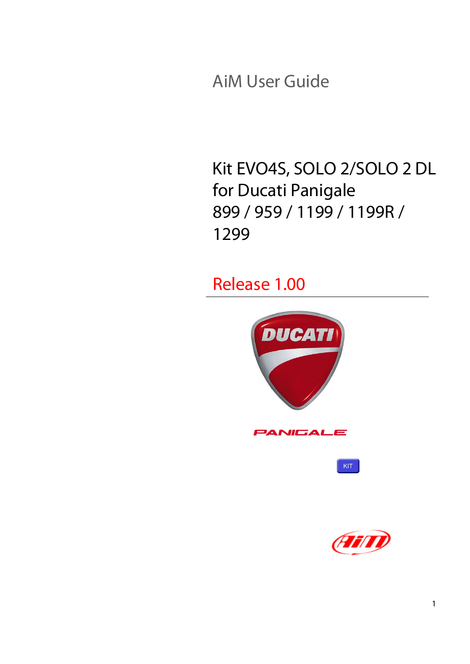AiM User Guide

Kit EVO4S, SOLO 2/SOLO 2 DL for Ducati Panigale 899 / 959 / 1199 / 1199R / 1299

Release 1.00



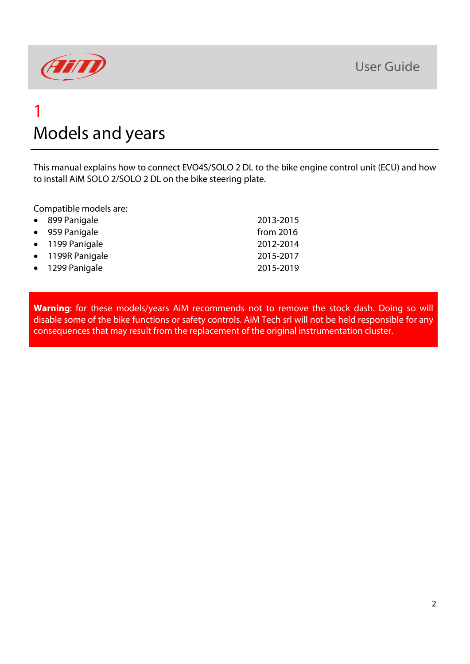

# 1 Models and years

This manual explains how to connect EVO4S/SOLO 2 DL to the bike engine control unit (ECU) and how to install AiM SOLO 2/SOLO 2 DL on the bike steering plate.

Compatible models are:

| • 899 Panigale   | 2013-2015   |
|------------------|-------------|
| • 959 Panigale   | from $2016$ |
| • 1199 Panigale  | 2012-2014   |
| • 1199R Panigale | 2015-2017   |
| • 1299 Panigale  | 2015-2019   |
|                  |             |

**Warning**: for these models/years AiM recommends not to remove the stock dash. Doing so will disable some of the bike functions or safety controls. AiM Tech srl will not be held responsible for any consequences that may result from the replacement of the original instrumentation cluster.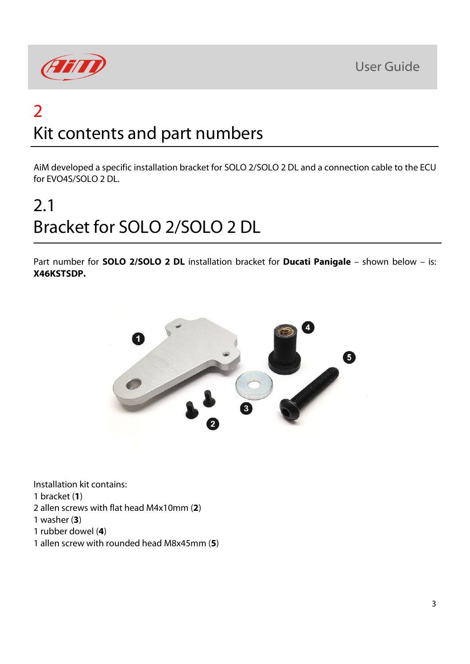



# 2 Kit contents and part numbers

AiM developed a specific installation bracket for SOLO 2/SOLO 2 DL and a connection cable to the ECU for EVO4S/SOLO 2 DL.

# 2.1 Bracket for SOLO 2/SOLO 2 DL

Part number for **SOLO 2/SOLO 2 DL** installation bracket for **Ducati Panigale** – shown below – is: **X46KSTSDP.**



Installation kit contains:

1 bracket (**1**)

- 2 allen screws with flat head M4x10mm (**2**)
- 1 washer (**3**)
- 1 rubber dowel (**4**)
- 1 allen screw with rounded head M8x45mm (**5**)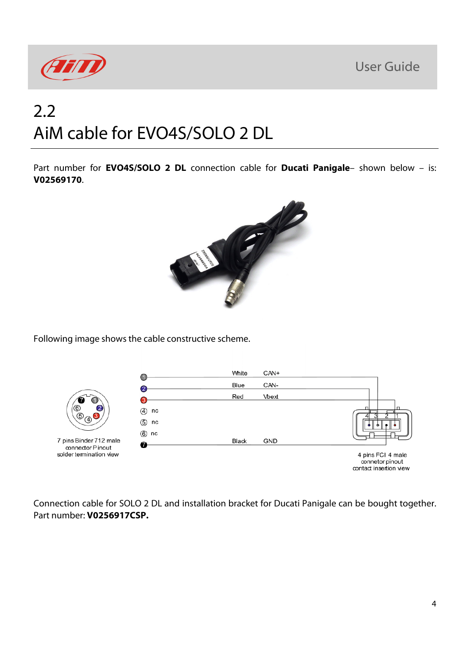

# 2.2 AiM cable for EVO4S/SOLO 2 DL

Part number for **EVO4S/SOLO 2 DL** connection cable for **Ducati Panigale**– shown below – is: **V02569170**.



Following image shows the cable constructive scheme.



Connection cable for SOLO 2 DL and installation bracket for Ducati Panigale can be bought together. Part number: **V0256917CSP.**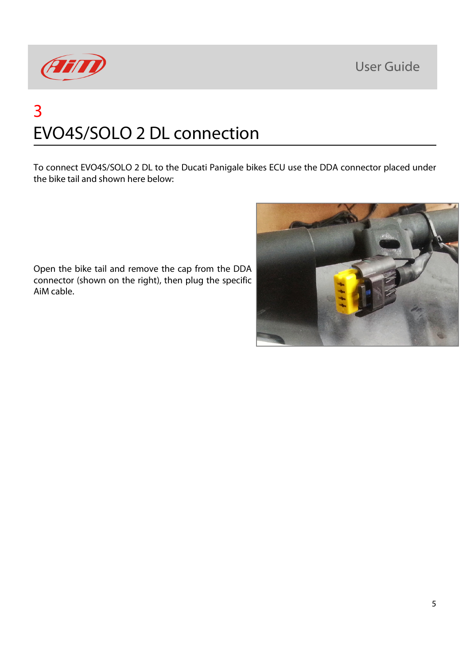

# 3 EVO4S/SOLO 2 DL connection

To connect EVO4S/SOLO 2 DL to the Ducati Panigale bikes ECU use the DDA connector placed under the bike tail and shown here below:

Open the bike tail and remove the cap from the DDA connector (shown on the right), then plug the specific AiM cable.

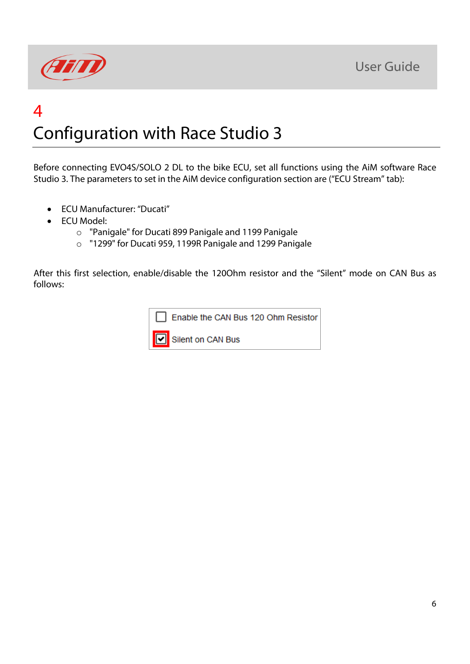



## 4 Configuration with Race Studio 3

Before connecting EVO4S/SOLO 2 DL to the bike ECU, set all functions using the AiM software Race Studio 3. The parameters to set in the AiM device configuration section are ("ECU Stream" tab):

- ECU Manufacturer: "Ducati"
- ECU Model:
	- o "Panigale" for Ducati 899 Panigale and 1199 Panigale
	- o "1299" for Ducati 959, 1199R Panigale and 1299 Panigale

After this first selection, enable/disable the 120Ohm resistor and the "Silent" mode on CAN Bus as follows:

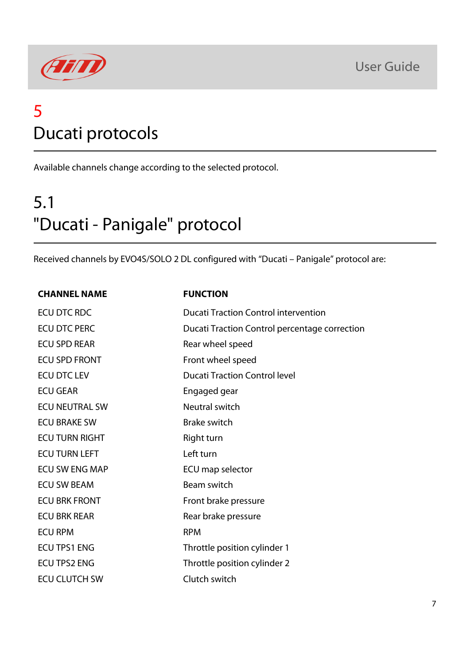

# 5 Ducati protocols

Available channels change according to the selected protocol.

# 5.1 "Ducati - Panigale" protocol

Received channels by EVO4S/SOLO 2 DL configured with "Ducati – Panigale" protocol are:

#### **CHANNEL NAME FUNCTION**

| ECU DTC RDC           | <b>Ducati Traction Control intervention</b>   |
|-----------------------|-----------------------------------------------|
| <b>ECU DTC PERC</b>   | Ducati Traction Control percentage correction |
| <b>ECU SPD REAR</b>   | Rear wheel speed                              |
| <b>ECU SPD FRONT</b>  | Front wheel speed                             |
| <b>ECU DTC LEV</b>    | <b>Ducati Traction Control level</b>          |
| <b>ECU GEAR</b>       | Engaged gear                                  |
| <b>ECU NEUTRAL SW</b> | Neutral switch                                |
| <b>ECU BRAKE SW</b>   | <b>Brake switch</b>                           |
| <b>ECU TURN RIGHT</b> | Right turn                                    |
| <b>ECU TURN LEFT</b>  | Left turn                                     |
| <b>ECU SW ENG MAP</b> | ECU map selector                              |
| <b>ECU SW BEAM</b>    | Beam switch                                   |
| <b>ECU BRK FRONT</b>  | Front brake pressure                          |
| <b>ECU BRK REAR</b>   | Rear brake pressure                           |
| <b>ECU RPM</b>        | <b>RPM</b>                                    |
| <b>ECU TPS1 ENG</b>   | Throttle position cylinder 1                  |
| <b>ECU TPS2 ENG</b>   | Throttle position cylinder 2                  |
| <b>ECU CLUTCH SW</b>  | Clutch switch                                 |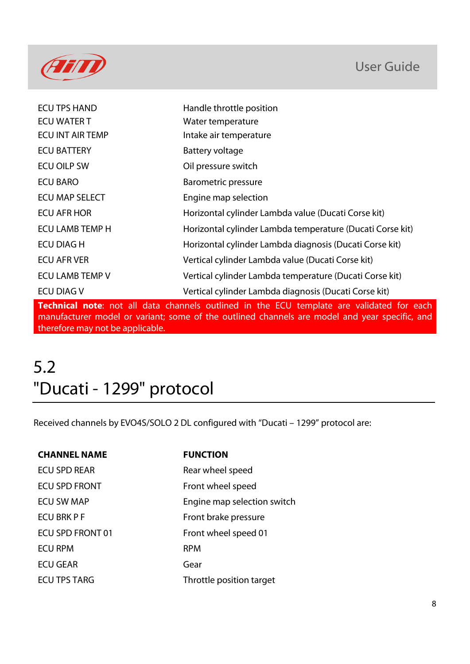

| <b>ECU TPS HAND</b>     | Handle throttle position                                  |
|-------------------------|-----------------------------------------------------------|
| <b>ECU WATER T</b>      | Water temperature                                         |
| <b>ECU INT AIR TEMP</b> | Intake air temperature                                    |
| <b>ECU BATTERY</b>      | Battery voltage                                           |
| <b>ECU OILP SW</b>      | Oil pressure switch                                       |
| <b>ECU BARO</b>         | <b>Barometric pressure</b>                                |
| ECU MAP SELECT          | Engine map selection                                      |
| <b>ECU AFR HOR</b>      | Horizontal cylinder Lambda value (Ducati Corse kit)       |
| <b>ECU LAMB TEMP H</b>  | Horizontal cylinder Lambda temperature (Ducati Corse kit) |
| <b>ECU DIAG H</b>       | Horizontal cylinder Lambda diagnosis (Ducati Corse kit)   |
| <b>ECU AFR VER</b>      | Vertical cylinder Lambda value (Ducati Corse kit)         |
| ECU LAMB TEMP V         | Vertical cylinder Lambda temperature (Ducati Corse kit)   |
| <b>ECU DIAG V</b>       | Vertical cylinder Lambda diagnosis (Ducati Corse kit)     |

**Technical note**: not all data channels outlined in the ECU template are validated for each manufacturer model or variant; some of the outlined channels are model and year specific, and therefore may not be applicable.

# 5.2 "Ducati - 1299" protocol

Received channels by EVO4S/SOLO 2 DL configured with "Ducati – 1299" protocol are:

| <b>CHANNEL NAME</b>  | <b>FUNCTION</b>             |
|----------------------|-----------------------------|
| <b>ECU SPD REAR</b>  | Rear wheel speed            |
| <b>ECU SPD FRONT</b> | Front wheel speed           |
| <b>ECU SW MAP</b>    | Engine map selection switch |
| ECU BRK P F          | Front brake pressure        |
| ECU SPD FRONT 01     | Front wheel speed 01        |
| <b>ECU RPM</b>       | <b>RPM</b>                  |
| <b>ECU GEAR</b>      | Gear                        |
| <b>ECU TPS TARG</b>  | Throttle position target    |
|                      |                             |